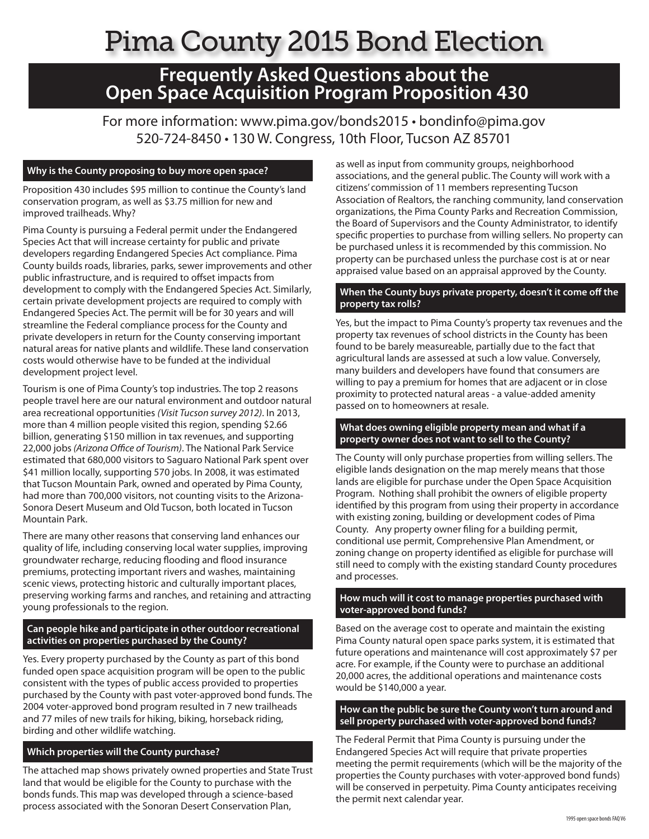## Pima County 2015 Bond Election

# **Frequently Asked Questions about the Open Space Acquisition Program Proposition 430**

For more information: www.pima.gov/bonds2015 • bondinfo@pima.gov 520-724-8450 • 130 W. Congress, 10th Floor, Tucson AZ 85701

#### **Why is the County proposing to buy more open space?**

Proposition 430 includes \$95 million to continue the County's land conservation program, as well as \$3.75 million for new and improved trailheads. Why?

Pima County is pursuing a Federal permit under the Endangered Species Act that will increase certainty for public and private developers regarding Endangered Species Act compliance. Pima County builds roads, libraries, parks, sewer improvements and other public infrastructure, and is required to offset impacts from development to comply with the Endangered Species Act. Similarly, certain private development projects are required to comply with Endangered Species Act. The permit will be for 30 years and will streamline the Federal compliance process for the County and private developers in return for the County conserving important natural areas for native plants and wildlife. These land conservation costs would otherwise have to be funded at the individual development project level.

Tourism is one of Pima County's top industries. The top 2 reasons people travel here are our natural environment and outdoor natural area recreational opportunities *(Visit Tucson survey 2012)*. In 2013, more than 4 million people visited this region, spending \$2.66 billion, generating \$150 million in tax revenues, and supporting 22,000 jobs *(Arizona Office of Tourism)*. The National Park Service estimated that 680,000 visitors to Saguaro National Park spent over \$41 million locally, supporting 570 jobs. In 2008, it was estimated that Tucson Mountain Park, owned and operated by Pima County, had more than 700,000 visitors, not counting visits to the Arizona-Sonora Desert Museum and Old Tucson, both located in Tucson Mountain Park.

There are many other reasons that conserving land enhances our quality of life, including conserving local water supplies, improving groundwater recharge, reducing flooding and flood insurance premiums, protecting important rivers and washes, maintaining scenic views, protecting historic and culturally important places, preserving working farms and ranches, and retaining and attracting young professionals to the region.

#### **Can people hike and participate in other outdoor recreational activities on properties purchased by the County?**

Yes. Every property purchased by the County as part of this bond funded open space acquisition program will be open to the public consistent with the types of public access provided to properties purchased by the County with past voter-approved bond funds. The 2004 voter-approved bond program resulted in 7 new trailheads and 77 miles of new trails for hiking, biking, horseback riding, birding and other wildlife watching.

#### **Which properties will the County purchase?**

The attached map shows privately owned properties and State Trust land that would be eligible for the County to purchase with the bonds funds. This map was developed through a science-based process associated with the Sonoran Desert Conservation Plan,

as well as input from community groups, neighborhood associations, and the general public. The County will work with a citizens' commission of 11 members representing Tucson Association of Realtors, the ranching community, land conservation organizations, the Pima County Parks and Recreation Commission, the Board of Supervisors and the County Administrator, to identify specific properties to purchase from willing sellers. No property can be purchased unless it is recommended by this commission. No property can be purchased unless the purchase cost is at or near appraised value based on an appraisal approved by the County.

#### **When the County buys private property, doesn't it come off the property tax rolls?**

Yes, but the impact to Pima County's property tax revenues and the property tax revenues of school districts in the County has been found to be barely measureable, partially due to the fact that agricultural lands are assessed at such a low value. Conversely, many builders and developers have found that consumers are willing to pay a premium for homes that are adjacent or in close proximity to protected natural areas - a value-added amenity passed on to homeowners at resale.

#### **What does owning eligible property mean and what if a property owner does not want to sell to the County?**

The County will only purchase properties from willing sellers. The eligible lands designation on the map merely means that those lands are eligible for purchase under the Open Space Acquisition Program. Nothing shall prohibit the owners of eligible property identified by this program from using their property in accordance with existing zoning, building or development codes of Pima County. Any property owner filing for a building permit, conditional use permit, Comprehensive Plan Amendment, or zoning change on property identified as eligible for purchase will still need to comply with the existing standard County procedures and processes.

#### **How much will it cost to manage properties purchased with voter-approved bond funds?**

Based on the average cost to operate and maintain the existing Pima County natural open space parks system, it is estimated that future operations and maintenance will cost approximately \$7 per acre. For example, if the County were to purchase an additional 20,000 acres, the additional operations and maintenance costs would be \$140,000 a year.

#### **How can the public be sure the County won't turn around and sell property purchased with voter-approved bond funds?**

The Federal Permit that Pima County is pursuing under the Endangered Species Act will require that private properties meeting the permit requirements (which will be the majority of the properties the County purchases with voter-approved bond funds) will be conserved in perpetuity. Pima County anticipates receiving the permit next calendar year.